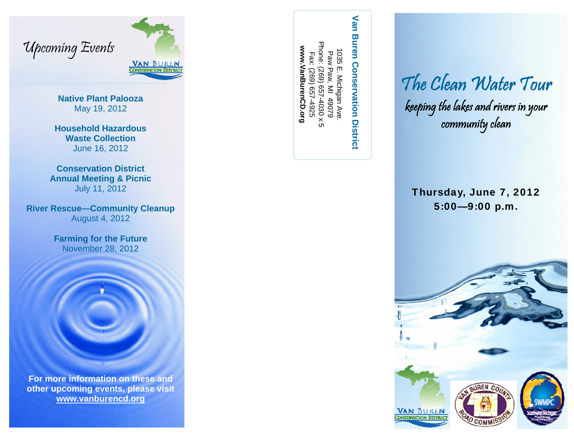



**Native Plant Palooza** May 19, 2012

**Household Hazardous Waste Collection** June 16, 2012

**Conservation District Annual Meeting & Picnic**  July 11, 2012

**River Rescue—Community Cleanup**  August 4, 2012

> **Farming for the Future**  November 28, 2012



**For more information on these and other upcoming events, please visit www.vanburencd.org**

Phone: (269) 657-4030 x 5 hone: 1035 1035 E. Michigan Ave. Fax: (269) 657-4925 Paw Fax: (269) 657-4925 Paw Paw, MI 49079 i E. Michigan Ave.<br>v Paw, MI 49079  $(586)$ ×020-4030

**www.VanBurenCD.org** 

www.VanBurenCD.org

Van **Van Buren Conservation District Buren Conservation District** 

The Clean Water Tour keeping the lakes and rivers in your community clean

Thursday, June 7, 2012 5:00—9:00 p.m.